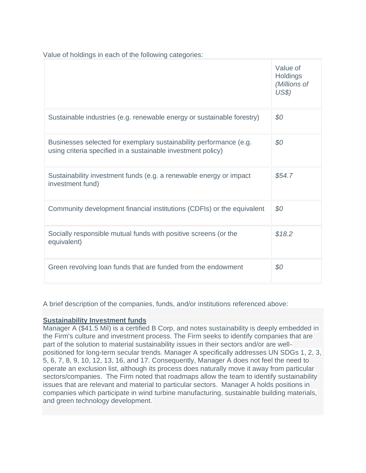| value of noldings in each of the following categories:                                                                             |                                                      |
|------------------------------------------------------------------------------------------------------------------------------------|------------------------------------------------------|
|                                                                                                                                    | Value of<br><b>Holdings</b><br>(Millions of<br>US\$) |
| Sustainable industries (e.g. renewable energy or sustainable forestry)                                                             | \$0                                                  |
| Businesses selected for exemplary sustainability performance (e.g.<br>using criteria specified in a sustainable investment policy) | \$0                                                  |
| Sustainability investment funds (e.g. a renewable energy or impact<br>investment fund)                                             | \$54.7                                               |
| Community development financial institutions (CDFIs) or the equivalent                                                             | \$0                                                  |
| Socially responsible mutual funds with positive screens (or the<br>equivalent)                                                     | \$18.2                                               |
| Green revolving loan funds that are funded from the endowment                                                                      | \$0                                                  |

Value of holdings in each of the following categories:

A brief description of the companies, funds, and/or institutions referenced above:

## **Sustainability Investment funds**

Manager A (\$41.5 Mil) is a certified B Corp, and notes sustainability is deeply embedded in the Firm's culture and investment process. The Firm seeks to identify companies that are part of the solution to material sustainability issues in their sectors and/or are wellpositioned for long-term secular trends. Manager A specifically addresses UN SDGs 1, 2, 3, 5, 6, 7, 8, 9, 10, 12, 13, 16, and 17. Consequently, Manager A does not feel the need to operate an exclusion list, although its process does naturally move it away from particular sectors/companies. The Firm noted that roadmaps allow the team to identify sustainability issues that are relevant and material to particular sectors. Manager A holds positions in companies which participate in wind turbine manufacturing, sustainable building materials, and green technology development.